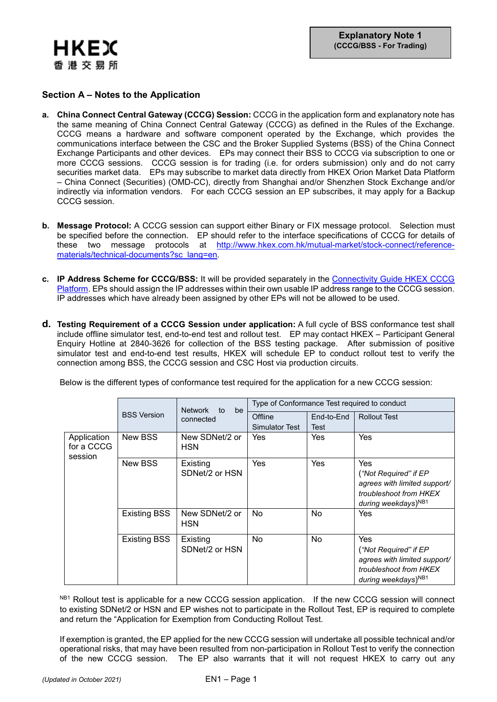

## **Section A – Notes to the Application**

- **a. China Connect Central Gateway (CCCG) Session:** CCCG in the application form and explanatory note has the same meaning of China Connect Central Gateway (CCCG) as defined in the Rules of the Exchange. CCCG means a hardware and software component operated by the Exchange, which provides the communications interface between the CSC and the Broker Supplied Systems (BSS) of the China Connect Exchange Participants and other devices. EPs may connect their BSS to CCCG via subscription to one or more CCCG sessions. CCCG session is for trading (i.e. for orders submission) only and do not carry securities market data. EPs may subscribe to market data directly from HKEX Orion Market Data Platform – China Connect (Securities) (OMD-CC), directly from Shanghai and/or Shenzhen Stock Exchange and/or indirectly via information vendors. For each CCCG session an EP subscribes, it may apply for a Backup CCCG session.
- **b. Message Protocol:** A CCCG session can support either Binary or FIX message protocol. Selection must be specified before the connection. EP should refer to the interface specifications of CCCG for details of these two message protocols at [http://www.hkex.com.hk/mutual-market/stock-connect/reference](http://www.hkex.com.hk/mutual-market/stock-connect/reference-materials/technical-documents?sc_lang=en)[materials/technical-documents?sc\\_lang=en.](http://www.hkex.com.hk/mutual-market/stock-connect/reference-materials/technical-documents?sc_lang=en)
- **c. IP Address Scheme for CCCG/BSS:** It will be provided separately in the [Connectivity Guide HKEX](http://www.hkex.com.hk/-/media/hkex-market/mutual-market/stock-connect/reference-materials/technical-documents/cccg-specifications/hkex_cccg_connectivity_guide) CCCG [Platform.](http://www.hkex.com.hk/-/media/hkex-market/mutual-market/stock-connect/reference-materials/technical-documents/cccg-specifications/hkex_cccg_connectivity_guide) EPs should assign the IP addresses within their own usable IP address range to the CCCG session. IP addresses which have already been assigned by other EPs will not be allowed to be used.
- **d. Testing Requirement of a CCCG Session under application:** A full cycle of BSS conformance test shall include offline simulator test, end-to-end test and rollout test. EP may contact HKEX – Participant General Enquiry Hotline at 2840-3626 for collection of the BSS testing package. After submission of positive simulator test and end-to-end test results, HKEX will schedule EP to conduct rollout test to verify the connection among BSS, the CCCG session and CSC Host via production circuits.

Below is the different types of conformance test required for the application for a new CCCG session:

|                                      | <b>BSS Version</b>  | <b>Network</b><br>be<br>to<br>connected | Type of Conformance Test required to conduct |            |                                                                                                                           |  |
|--------------------------------------|---------------------|-----------------------------------------|----------------------------------------------|------------|---------------------------------------------------------------------------------------------------------------------------|--|
|                                      |                     |                                         | Offline                                      | End-to-End | <b>Rollout Test</b>                                                                                                       |  |
|                                      |                     |                                         | Simulator Test                               | Test       |                                                                                                                           |  |
| Application<br>for a CCCG<br>session | New BSS             | New SDNet/2 or<br><b>HSN</b>            | Yes                                          | Yes        | Yes                                                                                                                       |  |
|                                      | New BSS             | Existing<br>SDNet/2 or HSN              | Yes                                          | <b>Yes</b> | Yes<br>("Not Required" if EP<br>agrees with limited support/<br>troubleshoot from HKEX<br>during weekdays) <sup>NB1</sup> |  |
|                                      | <b>Existing BSS</b> | New SDNet/2 or<br><b>HSN</b>            | No                                           | No         | Yes                                                                                                                       |  |
|                                      | <b>Existing BSS</b> | Existing<br>SDNet/2 or HSN              | No                                           | No         | Yes<br>("Not Required" if EP<br>agrees with limited support/<br>troubleshoot from HKEX<br>during weekdays) <sup>NB1</sup> |  |

NB1 Rollout test is applicable for a new CCCG session application. If the new CCCG session will connect to existing SDNet/2 or HSN and EP wishes not to participate in the Rollout Test, EP is required to complete and return the "Application for Exemption from Conducting Rollout Test.

If exemption is granted, the EP applied for the new CCCG session will undertake all possible technical and/or operational risks, that may have been resulted from non-participation in Rollout Test to verify the connection of the new CCCG session. The EP also warrants that it will not request HKEX to carry out any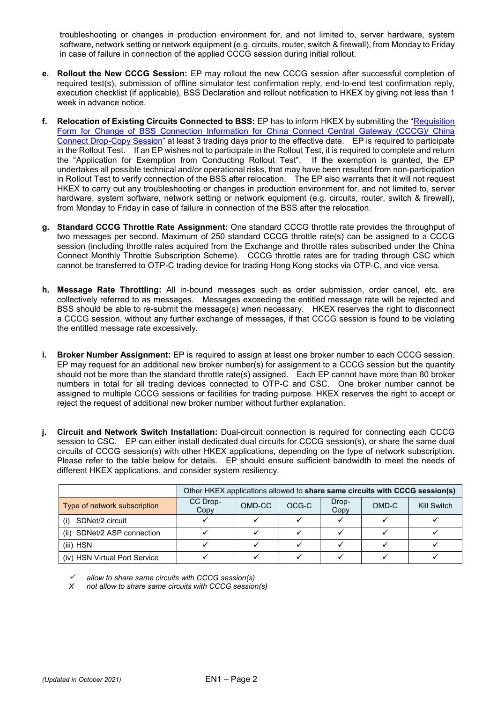troubleshooting or changes in production environment for, and not limited to, server hardware, system software, network setting or network equipment (e.g. circuits, router, switch & firewall), from Monday to Friday in case of failure in connection of the applied CCCG session during initial rollout.

- **e. Rollout the New CCCG Session:** EP may rollout the new CCCG session after successful completion of required test(s), submission of offline simulator test confirmation reply, end-to-end test confirmation reply, execution checklist (if applicable), BSS Declaration and rollout notification to HKEX by giving not less than 1 week in advance notice.
- **f. Relocation of Existing Circuits Connected to BSS:** EP has to inform HKEX by submitting the ["Requisition](https://www.hkex.com.hk/-/media/HKEX-Market/Services/Rules-and-Forms-and-Fees/Forms/Securities-(Stock-Connect)/Trading/Operations/Trading-Device/Requisition_Form_for_Change_of_BSS_Connection_Information_CCCG.pdf?la=en)  [Form for Change of BSS Connection Information for China Connect Central Gateway \(CCCG\)/ China](https://www.hkex.com.hk/-/media/HKEX-Market/Services/Rules-and-Forms-and-Fees/Forms/Securities-(Stock-Connect)/Trading/Operations/Trading-Device/Requisition_Form_for_Change_of_BSS_Connection_Information_CCCG.pdf?la=en)  [Connect Drop-Copy Session"](https://www.hkex.com.hk/-/media/HKEX-Market/Services/Rules-and-Forms-and-Fees/Forms/Securities-(Stock-Connect)/Trading/Operations/Trading-Device/Requisition_Form_for_Change_of_BSS_Connection_Information_CCCG.pdf?la=en) at least 3 trading days prior to the effective date. EP is required to participate in the Rollout Test. If an EP wishes not to participate in the Rollout Test, it is required to complete and return the "Application for Exemption from Conducting Rollout Test". If the exemption is granted, the EP undertakes all possible technical and/or operational risks, that may have been resulted from non-participation in Rollout Test to verify connection of the BSS after relocation. The EP also warrants that it will not request HKEX to carry out any troubleshooting or changes in production environment for, and not limited to, server hardware, system software, network setting or network equipment (e.g. circuits, router, switch & firewall), from Monday to Friday in case of failure in connection of the BSS after the relocation.
- **g. Standard CCCG Throttle Rate Assignment:** One standard CCCG throttle rate provides the throughput of two messages per second. Maximum of 250 standard CCCG throttle rate(s) can be assigned to a CCCG session (including throttle rates acquired from the Exchange and throttle rates subscribed under the China Connect Monthly Throttle Subscription Scheme). CCCG throttle rates are for trading through CSC which cannot be transferred to OTP-C trading device for trading Hong Kong stocks via OTP-C, and vice versa.
- **h. Message Rate Throttling:** All in-bound messages such as order submission, order cancel, etc. are collectively referred to as messages. Messages exceeding the entitled message rate will be rejected and BSS should be able to re-submit the message(s) when necessary. HKEX reserves the right to disconnect a CCCG session, without any further exchange of messages, if that CCCG session is found to be violating the entitled message rate excessively.
- **i. Broker Number Assignment:** EP is required to assign at least one broker number to each CCCG session. EP may request for an additional new broker number(s) for assignment to a CCCG session but the quantity should not be more than the standard throttle rate(s) assigned. Each EP cannot have more than 80 broker numbers in total for all trading devices connected to OTP-C and CSC. One broker number cannot be assigned to multiple CCCG sessions or facilities for trading purpose. HKEX reserves the right to accept or reject the request of additional new broker number without further explanation.
- **j. Circuit and Network Switch Installation:** Dual-circuit connection is required for connecting each CCCG session to CSC. EP can either install dedicated dual circuits for CCCG session(s), or share the same dual circuits of CCCG session(s) with other HKEX applications, depending on the type of network subscription. Please refer to the table below for details. EP should ensure sufficient bandwidth to meet the needs of different HKEX applications, and consider system resiliency.

|                               | Other HKEX applications allowed to share same circuits with CCCG session(s) |        |       |               |       |             |
|-------------------------------|-----------------------------------------------------------------------------|--------|-------|---------------|-------|-------------|
| Type of network subscription  | CC Drop-<br>Copy                                                            | OMD-CC | OCG-C | Drop-<br>Copy | OMD-C | Kill Switch |
| SDNet/2 circuit<br>(i)        |                                                                             |        |       |               |       |             |
| (ii) SDNet/2 ASP connection   |                                                                             |        |       |               |       |             |
| (iii) HSN                     |                                                                             |        |       |               |       |             |
| (iv) HSN Virtual Port Service |                                                                             |        |       |               |       |             |

✓ *allow to share same circuits with CCCG session(s)*

*X not allow to share same circuits with CCCG session(s)*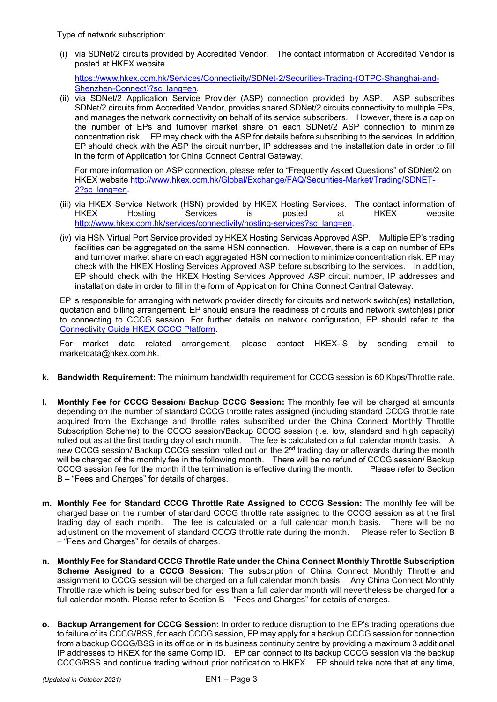Type of network subscription:

(i) via SDNet/2 circuits provided by Accredited Vendor. The contact information of Accredited Vendor is posted at HKEX website

[https://www.hkex.com.hk/Services/Connectivity/SDNet-2/Securities-Trading-\(OTPC-Shanghai-and-](https://www.hkex.com.hk/Services/Connectivity/SDNet-2/Securities-Trading-(OTPC-Shanghai-and-Shenzhen-Connect)?sc_lang=en)[Shenzhen-Connect\)?sc\\_lang=en.](https://www.hkex.com.hk/Services/Connectivity/SDNet-2/Securities-Trading-(OTPC-Shanghai-and-Shenzhen-Connect)?sc_lang=en)

(ii) via SDNet/2 Application Service Provider (ASP) connection provided by ASP. ASP subscribes SDNet/2 circuits from Accredited Vendor, provides shared SDNet/2 circuits connectivity to multiple EPs, and manages the network connectivity on behalf of its service subscribers. However, there is a cap on the number of EPs and turnover market share on each SDNet/2 ASP connection to minimize concentration risk. EP may check with the ASP for details before subscribing to the services. In addition, EP should check with the ASP the circuit number, IP addresses and the installation date in order to fill in the form of Application for China Connect Central Gateway.

For more information on ASP connection, please refer to "Frequently Asked Questions" of SDNet/2 on HKEX website [http://www.hkex.com.hk/Global/Exchange/FAQ/Securities-Market/Trading/SDNET-](http://www.hkex.com.hk/Global/Exchange/FAQ/Securities-Market/Trading/SDNET-2?sc_lang=en)[2?sc\\_lang=en.](http://www.hkex.com.hk/Global/Exchange/FAQ/Securities-Market/Trading/SDNET-2?sc_lang=en)

- (iii) via HKEX Service Network (HSN) provided by HKEX Hosting Services. The contact information of<br>HKEX Hosting Services is posted at HKEX website HKEX Hosting Services is posted at HKEX website [http://www.hkex.com.hk/services/connectivity/hosting-services?sc\\_lang=en.](http://www.hkex.com.hk/services/connectivity/hosting-services?sc_lang=en)
- (iv) via HSN Virtual Port Service provided by HKEX Hosting Services Approved ASP. Multiple EP's trading facilities can be aggregated on the same HSN connection. However, there is a cap on number of EPs and turnover market share on each aggregated HSN connection to minimize concentration risk. EP may check with the HKEX Hosting Services Approved ASP before subscribing to the services. In addition, EP should check with the HKEX Hosting Services Approved ASP circuit number, IP addresses and installation date in order to fill in the form of Application for China Connect Central Gateway.

EP is responsible for arranging with network provider directly for circuits and network switch(es) installation, quotation and billing arrangement. EP should ensure the readiness of circuits and network switch(es) prior to connecting to CCCG session. For further details on network configuration, EP should refer to the [Connectivity Guide HKEX CCCG Platform.](http://www.hkex.com.hk/-/media/hkex-market/mutual-market/stock-connect/reference-materials/technical-documents/cccg-specifications/hkex_cccg_connectivity_guide)

For market data related arrangement, please contact HKEX-IS by sending email to [marketdata@hkex.com.hk.](mailto:marketdata@hkex.com.hk)

- **k. Bandwidth Requirement:** The minimum bandwidth requirement for CCCG session is 60 Kbps/Throttle rate.
- **l. Monthly Fee for CCCG Session/ Backup CCCG Session:** The monthly fee will be charged at amounts depending on the number of standard CCCG throttle rates assigned (including standard CCCG throttle rate acquired from the Exchange and throttle rates subscribed under the China Connect Monthly Throttle Subscription Scheme) to the CCCG session/Backup CCCG session (i.e. low, standard and high capacity) rolled out as at the first trading day of each month. The fee is calculated on a full calendar month basis. A new CCCG session/ Backup CCCG session rolled out on the 2<sup>nd</sup> trading day or afterwards during the month will be charged of the monthly fee in the following month. There will be no refund of CCCG session/ Backup CCCG session fee for the month if the termination is effective during the month. Please refer to Section B – "Fees and Charges" for details of charges.
- **m. Monthly Fee for Standard CCCG Throttle Rate Assigned to CCCG Session:** The monthly fee will be charged base on the number of standard CCCG throttle rate assigned to the CCCG session as at the first trading day of each month. The fee is calculated on a full calendar month basis. There will be no adjustment on the movement of standard CCCG throttle rate during the month. Please refer to Section B – "Fees and Charges" for details of charges.
- **n. Monthly Fee for Standard CCCG Throttle Rate under the China Connect Monthly Throttle Subscription Scheme Assigned to a CCCG Session:** The subscription of China Connect Monthly Throttle and assignment to CCCG session will be charged on a full calendar month basis. Any China Connect Monthly Throttle rate which is being subscribed for less than a full calendar month will nevertheless be charged for a full calendar month. Please refer to Section B – "Fees and Charges" for details of charges.
- **o. Backup Arrangement for CCCG Session:** In order to reduce disruption to the EP's trading operations due to failure of its CCCG/BSS, for each CCCG session, EP may apply for a backup CCCG session for connection from a backup CCCG/BSS in its office or in its business continuity centre by providing a maximum 3 additional IP addresses to HKEX for the same Comp ID. EP can connect to its backup CCCG session via the backup CCCG/BSS and continue trading without prior notification to HKEX. EP should take note that at any time,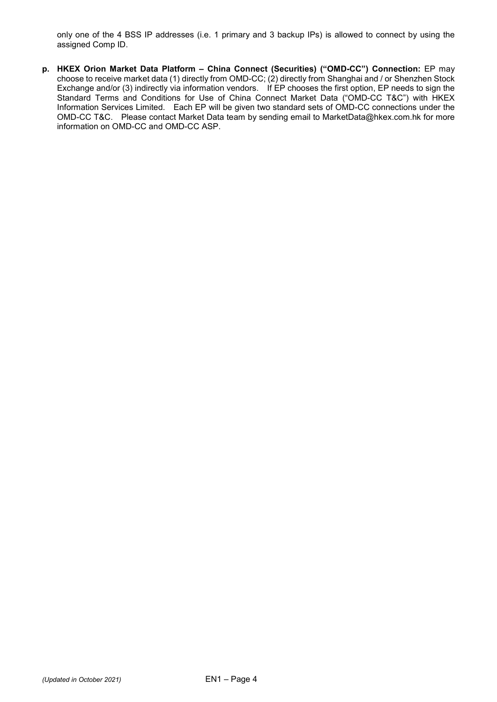only one of the 4 BSS IP addresses (i.e. 1 primary and 3 backup IPs) is allowed to connect by using the assigned Comp ID.

**p. HKEX Orion Market Data Platform – China Connect (Securities) ("OMD-CC") Connection:** EP may choose to receive market data (1) directly from OMD-CC; (2) directly from Shanghai and / or Shenzhen Stock Exchange and/or (3) indirectly via information vendors. If EP chooses the first option, EP needs to sign the Standard Terms and Conditions for Use of China Connect Market Data ("OMD-CC T&C") with HKEX Information Services Limited. Each EP will be given two standard sets of OMD-CC connections under the OMD-CC T&C. Please contact Market Data team by sending email to [MarketData@hkex.com.hk](mailto:marketdata@hkex.com.hk) for more information on OMD-CC and OMD-CC ASP.